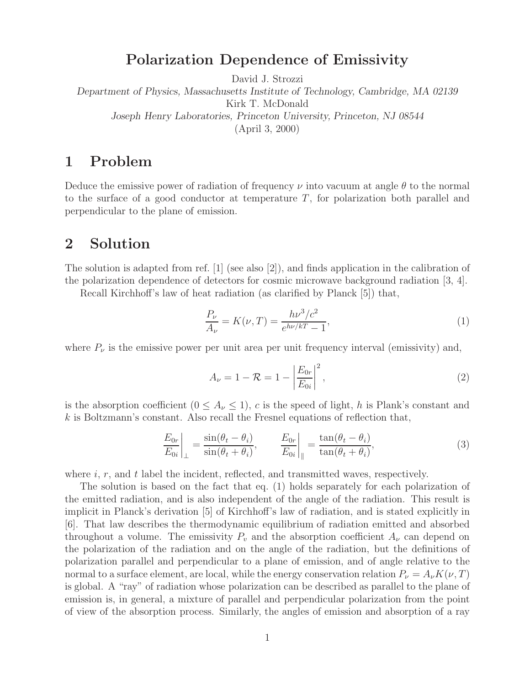## **Polarization Dependence of Emissivity**

David J. Strozzi

*Department of Physics, Massachusetts Institute of Technology, Cambridge, MA 02139* Kirk T. McDonald *Joseph Henry Laboratories, Princeton University, Princeton, NJ 08544* (April 3, 2000)

## **1 Problem**

Deduce the emissive power of radiation of frequency  $\nu$  into vacuum at angle  $\theta$  to the normal to the surface of a good conductor at temperature  $T$ , for polarization both parallel and perpendicular to the plane of emission.

## **2 Solution**

The solution is adapted from ref. [1] (see also [2]), and finds application in the calibration of the polarization dependence of detectors for cosmic microwave background radiation [3, 4].

Recall Kirchhoff's law of heat radiation (as clarified by Planck [5]) that,

$$
\frac{P_{\nu}}{A_{\nu}} = K(\nu, T) = \frac{h\nu^3/c^2}{e^{h\nu/kT} - 1},
$$
\n(1)

where  $P_{\nu}$  is the emissive power per unit area per unit frequency interval (emissivity) and,

$$
A_{\nu} = 1 - \mathcal{R} = 1 - \left| \frac{E_{0r}}{E_{0i}} \right|^2,
$$
\n(2)

is the absorption coefficient  $(0 \leq A_{\nu} \leq 1)$ , c is the speed of light, h is Plank's constant and  $k$  is Boltzmann's constant. Also recall the Fresnel equations of reflection that,

$$
\left. \frac{E_{0r}}{E_{0i}} \right|_{\perp} = \frac{\sin(\theta_t - \theta_i)}{\sin(\theta_t + \theta_i)}, \qquad \left. \frac{E_{0r}}{E_{0i}} \right|_{\parallel} = \frac{\tan(\theta_t - \theta_i)}{\tan(\theta_t + \theta_i)}, \tag{3}
$$

where  $i, r$ , and  $t$  label the incident, reflected, and transmitted waves, respectively.

The solution is based on the fact that eq. (1) holds separately for each polarization of the emitted radiation, and is also independent of the angle of the radiation. This result is implicit in Planck's derivation [5] of Kirchhoff's law of radiation, and is stated explicitly in [6]. That law describes the thermodynamic equilibrium of radiation emitted and absorbed throughout a volume. The emissivity  $P_v$  and the absorption coefficient  $A_v$  can depend on the polarization of the radiation and on the angle of the radiation, but the definitions of polarization parallel and perpendicular to a plane of emission, and of angle relative to the normal to a surface element, are local, while the energy conservation relation  $P_{\nu} = A_{\nu} K(\nu, T)$ is global. A "ray" of radiation whose polarization can be described as parallel to the plane of emission is, in general, a mixture of parallel and perpendicular polarization from the point of view of the absorption process. Similarly, the angles of emission and absorption of a ray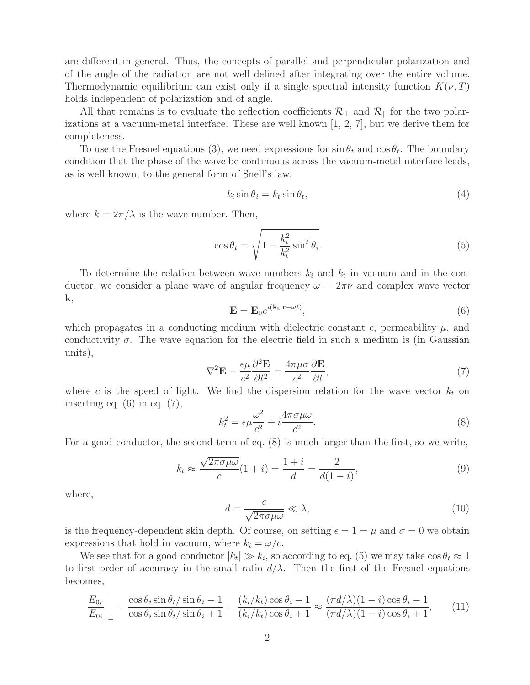are different in general. Thus, the concepts of parallel and perpendicular polarization and of the angle of the radiation are not well defined after integrating over the entire volume. Thermodynamic equilibrium can exist only if a single spectral intensity function  $K(\nu,T)$ holds independent of polarization and of angle.

All that remains is to evaluate the reflection coefficients  $\mathcal{R}_\perp$  and  $\mathcal{R}_\parallel$  for the two polarizations at a vacuum-metal interface. These are well known [1, 2, 7], but we derive them for completeness.

To use the Fresnel equations (3), we need expressions for  $\sin \theta_t$  and  $\cos \theta_t$ . The boundary condition that the phase of the wave be continuous across the vacuum-metal interface leads, as is well known, to the general form of Snell's law,

$$
k_i \sin \theta_i = k_t \sin \theta_t,\tag{4}
$$

where  $k = 2\pi/\lambda$  is the wave number. Then,

$$
\cos \theta_t = \sqrt{1 - \frac{k_i^2}{k_t^2} \sin^2 \theta_i}.
$$
\n(5)

To determine the relation between wave numbers  $k_i$  and  $k_t$  in vacuum and in the conductor, we consider a plane wave of angular frequency  $\omega = 2\pi\nu$  and complex wave vector **k**,

$$
\mathbf{E} = \mathbf{E}_0 e^{i(\mathbf{k_t} \cdot \mathbf{r} - \omega t)},\tag{6}
$$

which propagates in a conducting medium with dielectric constant  $\epsilon$ , permeability  $\mu$ , and conductivity  $\sigma$ . The wave equation for the electric field in such a medium is (in Gaussian units),

$$
\nabla^2 \mathbf{E} - \frac{\epsilon \mu}{c^2} \frac{\partial^2 \mathbf{E}}{\partial t^2} = \frac{4\pi \mu \sigma}{c^2} \frac{\partial \mathbf{E}}{\partial t},\tag{7}
$$

where c is the speed of light. We find the dispersion relation for the wave vector  $k_t$  on inserting eq.  $(6)$  in eq.  $(7)$ ,

$$
k_t^2 = \epsilon \mu \frac{\omega^2}{c^2} + i \frac{4\pi \sigma \mu \omega}{c^2}.
$$
\n
$$
(8)
$$

For a good conductor, the second term of eq. (8) is much larger than the first, so we write,

$$
k_t \approx \frac{\sqrt{2\pi\sigma\mu\omega}}{c}(1+i) = \frac{1+i}{d} = \frac{2}{d(1-i)},\tag{9}
$$

where,

$$
d = \frac{c}{\sqrt{2\pi\sigma\mu\omega}} \ll \lambda,
$$
\n(10)

is the frequency-dependent skin depth. Of course, on setting  $\epsilon = 1 = \mu$  and  $\sigma = 0$  we obtain expressions that hold in vacuum, where  $k_i = \omega/c$ .

We see that for a good conductor  $|k_t| \gg k_i$ , so according to eq. (5) we may take  $\cos \theta_t \approx 1$ to first order of accuracy in the small ratio  $d/\lambda$ . Then the first of the Fresnel equations becomes,

$$
\left. \frac{E_{0r}}{E_{0i}} \right|_{\perp} = \frac{\cos \theta_i \sin \theta_t / \sin \theta_i - 1}{\cos \theta_i \sin \theta_t / \sin \theta_i + 1} = \frac{(k_i / k_t) \cos \theta_i - 1}{(k_i / k_t) \cos \theta_i + 1} \approx \frac{(\pi d/\lambda)(1 - i) \cos \theta_i - 1}{(\pi d/\lambda)(1 - i) \cos \theta_i + 1},\tag{11}
$$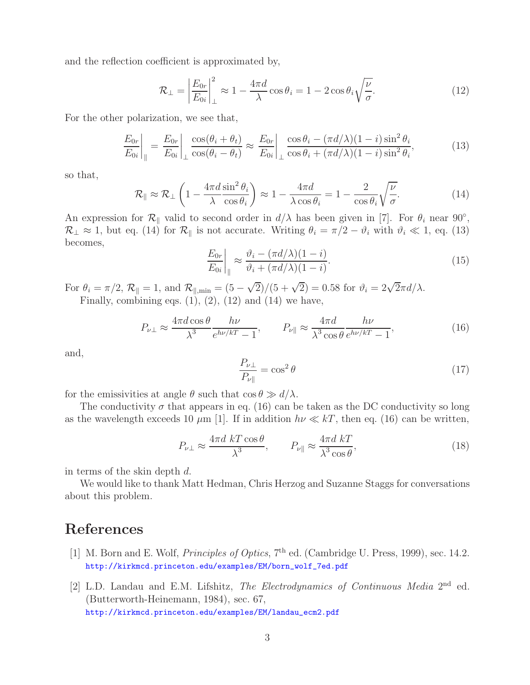and the reflection coefficient is approximated by,

$$
\mathcal{R}_{\perp} = \left| \frac{E_{0r}}{E_{0i}} \right|_{\perp}^{2} \approx 1 - \frac{4\pi d}{\lambda} \cos \theta_{i} = 1 - 2 \cos \theta_{i} \sqrt{\frac{\nu}{\sigma}}.
$$
\n(12)

For the other polarization, we see that,

$$
\left. \frac{E_{0r}}{E_{0i}} \right|_{\parallel} = \left. \frac{E_{0r}}{E_{0i}} \right|_{\perp} \frac{\cos(\theta_i + \theta_t)}{\cos(\theta_i - \theta_t)} \approx \left. \frac{E_{0r}}{E_{0i}} \right|_{\perp} \frac{\cos\theta_i - (\pi d/\lambda)(1 - i)\sin^2\theta_i}{\cos\theta_i + (\pi d/\lambda)(1 - i)\sin^2\theta_i},\tag{13}
$$

so that,

$$
\mathcal{R}_{\parallel} \approx \mathcal{R}_{\perp} \left( 1 - \frac{4\pi d}{\lambda} \frac{\sin^2 \theta_i}{\cos \theta_i} \right) \approx 1 - \frac{4\pi d}{\lambda \cos \theta_i} = 1 - \frac{2}{\cos \theta_i} \sqrt{\frac{\nu}{\sigma}}.
$$
\n(14)

An expression for  $\mathcal{R}_{\parallel}$  valid to second order in  $d/\lambda$  has been given in [7]. For  $\theta_i$  near 90°,  $\mathcal{R}_\perp \approx 1$ , but eq. (14) for  $\mathcal{R}_\parallel$  is not accurate. Writing  $\theta_i = \pi/2 - \vartheta_i$  with  $\vartheta_i \ll 1$ , eq. (13) becomes,

$$
\left. \frac{E_{0r}}{E_{0i}} \right|_{\parallel} \approx \frac{\vartheta_i - (\pi d/\lambda)(1 - i)}{\vartheta_i + (\pi d/\lambda)(1 - i)}.
$$
\n(15)

For  $\theta_i = \pi/2$ ,  $\mathcal{R}_{\parallel} = 1$ , and  $\mathcal{R}_{\parallel, \text{min}} = (5 - \sqrt{2})/(5 + \sqrt{2}) = 0.58$  for  $\vartheta_i = 2\sqrt{2}\pi d/\lambda$ . Finally, combining eqs.  $(1)$ ,  $(2)$ ,  $(12)$  and  $(14)$  we have,

$$
P_{\nu\perp} \approx \frac{4\pi d \cos\theta}{\lambda^3} \frac{h\nu}{e^{h\nu/kT} - 1}, \qquad P_{\nu\parallel} \approx \frac{4\pi d}{\lambda^3 \cos\theta} \frac{h\nu}{e^{h\nu/kT} - 1},
$$
(16)

and,

$$
\frac{P_{\nu\perp}}{P_{\nu\parallel}} = \cos^2\theta\tag{17}
$$

for the emissivities at angle  $\theta$  such that  $\cos \theta \gg d/\lambda$ .

The conductivity  $\sigma$  that appears in eq. (16) can be taken as the DC conductivity so long as the wavelength exceeds 10  $\mu$ m [1]. If in addition  $h\nu \ll kT$ , then eq. (16) can be written,

$$
P_{\nu\perp} \approx \frac{4\pi d \ kT \cos \theta}{\lambda^3}, \qquad P_{\nu\parallel} \approx \frac{4\pi d \ kT}{\lambda^3 \cos \theta},\tag{18}
$$

in terms of the skin depth d.

We would like to thank Matt Hedman, Chris Herzog and Suzanne Staggs for conversations about this problem.

## **References**

- [1] M. Born and E. Wolf, *Principles of Optics*,  $7<sup>th</sup>$  ed. (Cambridge U. Press, 1999), sec. 14.2. http://kirkmcd.princeton.edu/examples/EM/born\_wolf\_7ed.pdf
- [2] L.D. Landau and E.M. Lifshitz, *The Electrodynamics of Continuous Media* 2nd ed. (Butterworth-Heinemann, 1984), sec. 67, http://kirkmcd.princeton.edu/examples/EM/landau\_ecm2.pdf